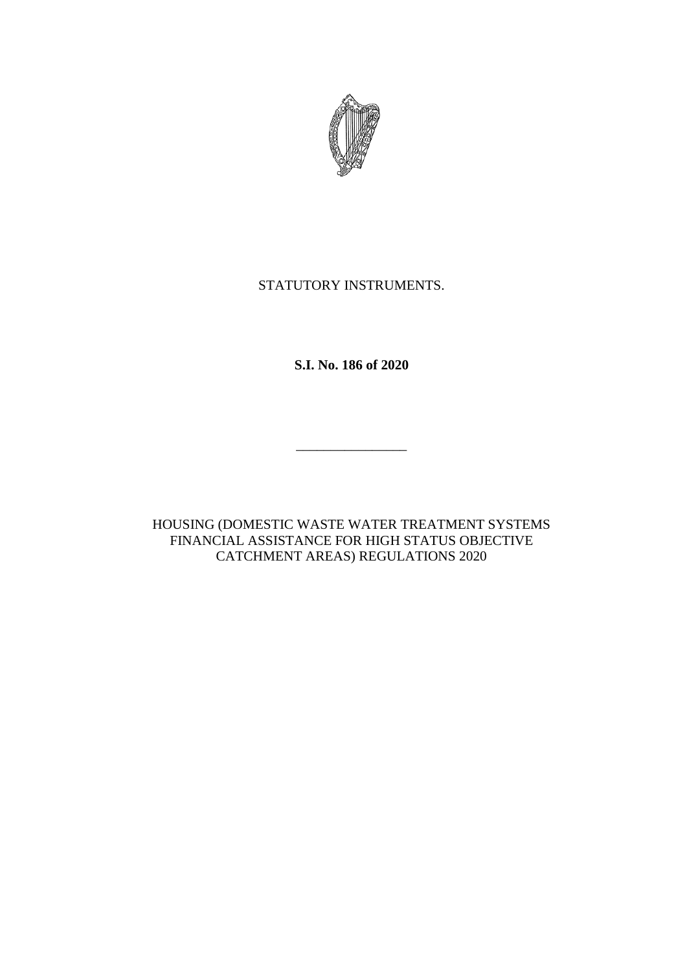

# STATUTORY INSTRUMENTS.

**S.I. No. 186 of 2020**

 $\overline{\phantom{a}}$  , which is the contract of the contract of the contract of the contract of the contract of the contract of the contract of the contract of the contract of the contract of the contract of the contract of the co

HOUSING (DOMESTIC WASTE WATER TREATMENT SYSTEMS FINANCIAL ASSISTANCE FOR HIGH STATUS OBJECTIVE CATCHMENT AREAS) REGULATIONS 2020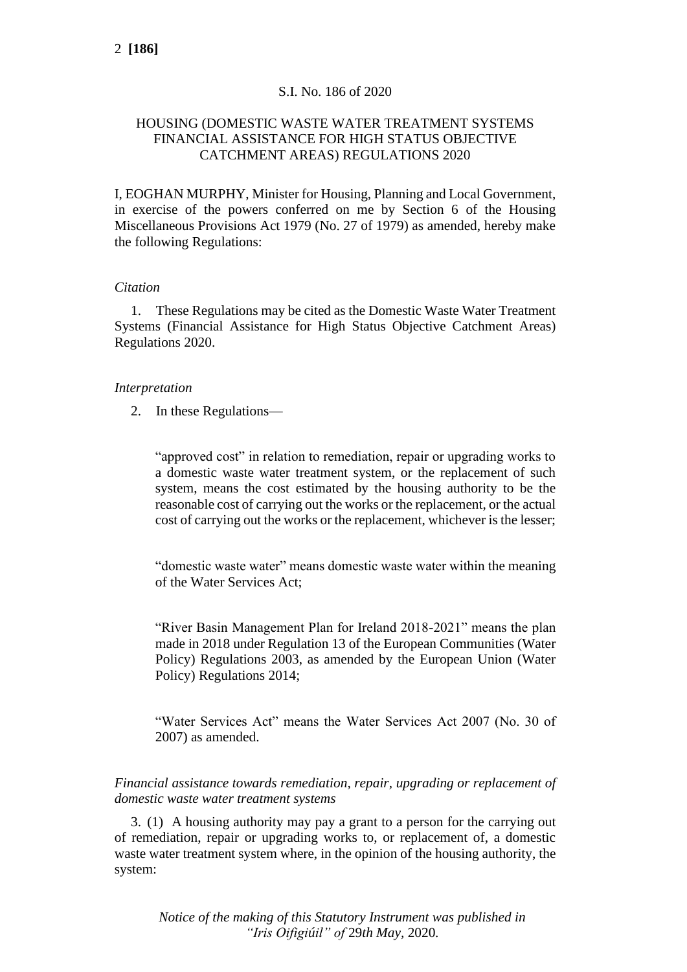# S.I. No. 186 of 2020

# HOUSING (DOMESTIC WASTE WATER TREATMENT SYSTEMS FINANCIAL ASSISTANCE FOR HIGH STATUS OBJECTIVE CATCHMENT AREAS) REGULATIONS 2020

I, EOGHAN MURPHY, Minister for Housing, Planning and Local Government, in exercise of the powers conferred on me by Section 6 of the Housing Miscellaneous Provisions Act 1979 (No. 27 of 1979) as amended, hereby make the following Regulations:

## *Citation*

1. These Regulations may be cited as the Domestic Waste Water Treatment Systems (Financial Assistance for High Status Objective Catchment Areas) Regulations 2020.

### *Interpretation*

2. In these Regulations—

"approved cost" in relation to remediation, repair or upgrading works to a domestic waste water treatment system, or the replacement of such system, means the cost estimated by the housing authority to be the reasonable cost of carrying out the works or the replacement, or the actual cost of carrying out the works or the replacement, whichever is the lesser;

"domestic waste water" means domestic waste water within the meaning of the Water Services Act;

"River Basin Management Plan for Ireland 2018-2021" means the plan made in 2018 under Regulation 13 of the European Communities (Water Policy) Regulations 2003, as amended by the European Union (Water Policy) Regulations 2014;

"Water Services Act" means the Water Services Act 2007 (No. 30 of 2007) as amended.

*Financial assistance towards remediation, repair, upgrading or replacement of domestic waste water treatment systems*

3. (1) A housing authority may pay a grant to a person for the carrying out of remediation, repair or upgrading works to, or replacement of, a domestic waste water treatment system where, in the opinion of the housing authority, the system:

*Notice of the making of this Statutory Instrument was published in "Iris Oifigiúil" of* 29*th May,* 2020*.*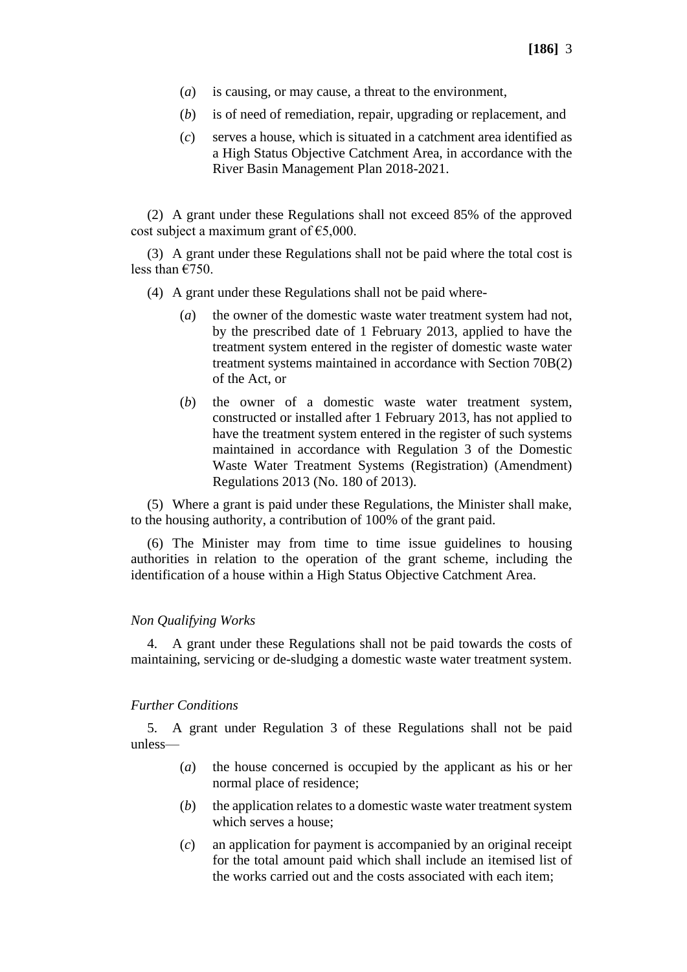- (*a*) is causing, or may cause, a threat to the environment,
- (*b*) is of need of remediation, repair, upgrading or replacement, and
- (*c*) serves a house, which is situated in a catchment area identified as a High Status Objective Catchment Area, in accordance with the River Basin Management Plan 2018-2021.

(2) A grant under these Regulations shall not exceed 85% of the approved cost subject a maximum grant of  $\epsilon$ 5,000.

(3) A grant under these Regulations shall not be paid where the total cost is less than €750.

- (4) A grant under these Regulations shall not be paid where-
	- (*a*) the owner of the domestic waste water treatment system had not, by the prescribed date of 1 February 2013, applied to have the treatment system entered in the register of domestic waste water treatment systems maintained in accordance with Section 70B(2) of the Act, or
	- (*b*) the owner of a domestic waste water treatment system, constructed or installed after 1 February 2013, has not applied to have the treatment system entered in the register of such systems maintained in accordance with Regulation 3 of the Domestic Waste Water Treatment Systems (Registration) (Amendment) Regulations 2013 (No. 180 of 2013).

(5) Where a grant is paid under these Regulations, the Minister shall make, to the housing authority, a contribution of 100% of the grant paid.

(6) The Minister may from time to time issue guidelines to housing authorities in relation to the operation of the grant scheme, including the identification of a house within a High Status Objective Catchment Area.

#### *Non Qualifying Works*

4. A grant under these Regulations shall not be paid towards the costs of maintaining, servicing or de-sludging a domestic waste water treatment system.

### *Further Conditions*

5. A grant under Regulation 3 of these Regulations shall not be paid unless—

- (*a*) the house concerned is occupied by the applicant as his or her normal place of residence;
- (*b*) the application relates to a domestic waste water treatment system which serves a house;
- (*c*) an application for payment is accompanied by an original receipt for the total amount paid which shall include an itemised list of the works carried out and the costs associated with each item;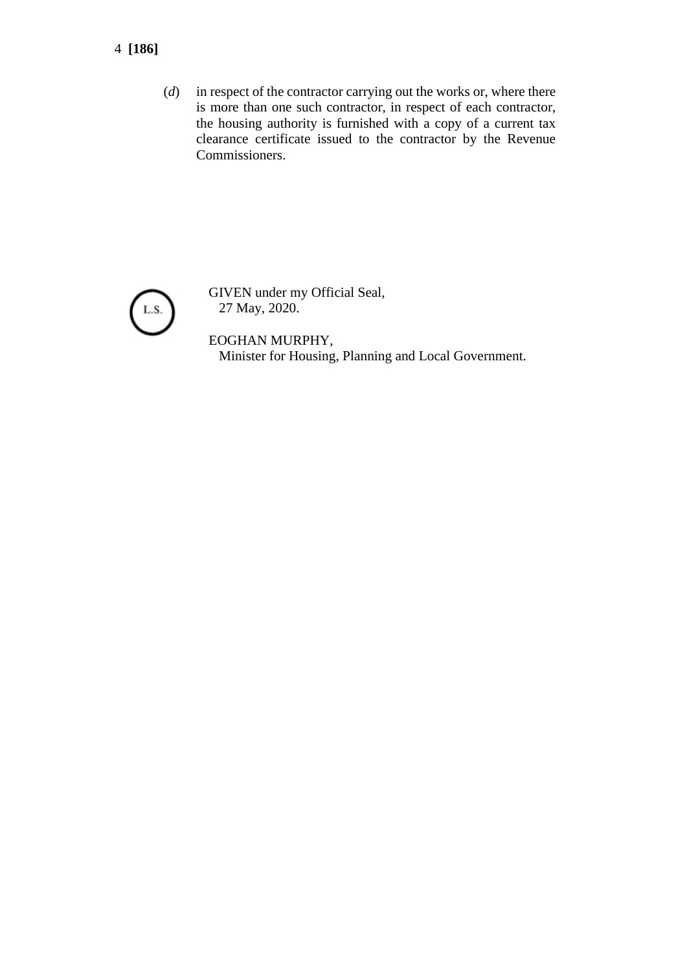# 4 **[186]**

(*d*) in respect of the contractor carrying out the works or, where there is more than one such contractor, in respect of each contractor, the housing authority is furnished with a copy of a current tax clearance certificate issued to the contractor by the Revenue Commissioners.



GIVEN under my Official Seal, 27 May, 2020.

EOGHAN MURPHY, Minister for Housing, Planning and Local Government.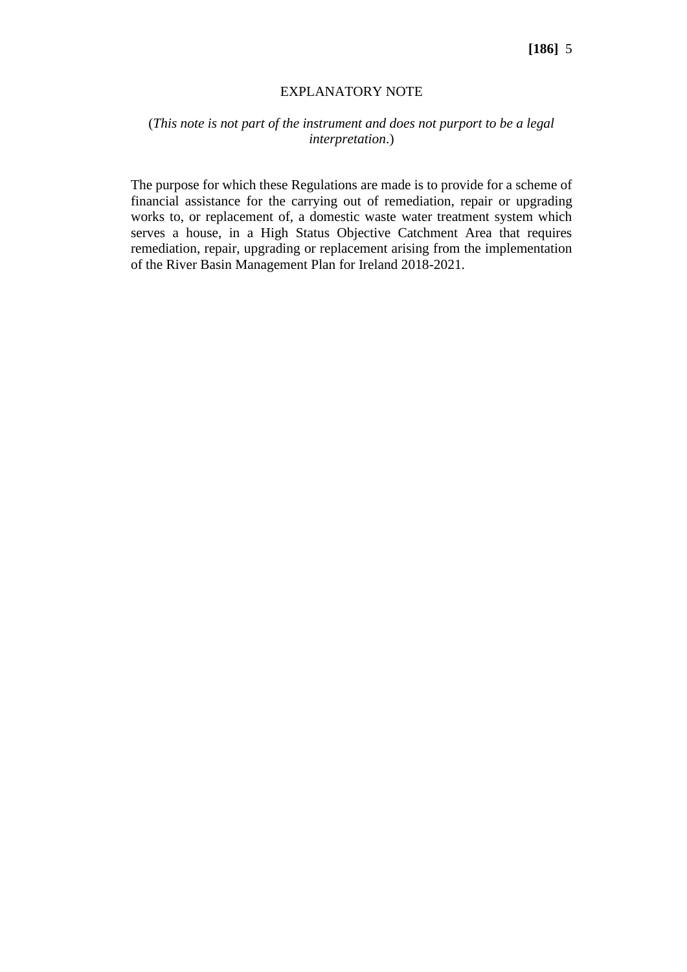#### EXPLANATORY NOTE

## (*This note is not part of the instrument and does not purport to be a legal interpretation*.)

The purpose for which these Regulations are made is to provide for a scheme of financial assistance for the carrying out of remediation, repair or upgrading works to, or replacement of, a domestic waste water treatment system which serves a house, in a High Status Objective Catchment Area that requires remediation, repair, upgrading or replacement arising from the implementation of the River Basin Management Plan for Ireland 2018-2021.